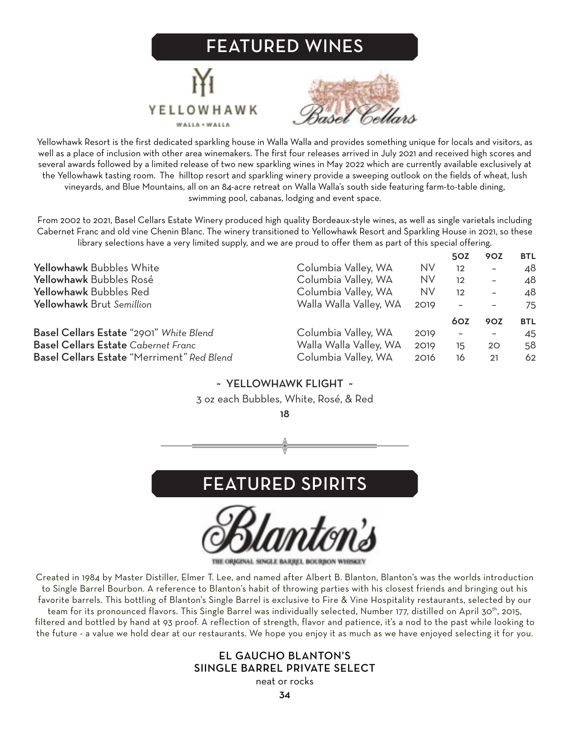## FEATURED WINES





Yellowhawk Resort is the first dedicated sparkling house in Walla Walla and provides something unique for locals and visitors, as well as a place of inclusion with other area winemakers. The first four releases arrived in July 2021 and received high scores and several awards followed by a limited release of two new sparkling wines in May 2022 which are currently available exclusively at the Yellowhawk tasting room. The hilltop resort and sparkling winery provide a sweeping outlook on the fields of wheat, lush vineyards, and Blue Mountains, all on an 84-acre retreat on Walla Walla's south side featuring farm-to-table dining, swimming pool, cabanas, lodging and event space.

From 2002 to 2021, Basel Cellars Estate Winery produced high quality Bordeaux-style wines, as well as single varietals including Cabernet Franc and old vine Chenin Blanc. The winery transitioned to Yellowhawk Resort and Sparkling House in 2021, so these library selections have a very limited supply, and we are proud to offer them as part of this special offering.

|                                            |                        |           | 50Z                      | 90Z                      | <b>BTL</b> |
|--------------------------------------------|------------------------|-----------|--------------------------|--------------------------|------------|
| Yellowhawk Bubbles White                   | Columbia Valley, WA    | <b>NV</b> | 12                       | $\overline{\phantom{0}}$ | 48         |
| Yellowhawk Bubbles Rosé                    | Columbia Valley, WA    | <b>NV</b> | 12                       | $\overline{\phantom{0}}$ | 48         |
| Yellowhawk Bubbles Red                     | Columbia Valley, WA    | <b>NV</b> | $12 \overline{ }$        | $\overline{\phantom{0}}$ | 48         |
| Yellowhawk Brut Semillion                  | Walla Walla Valley, WA | 2019      | $\overline{\phantom{0}}$ | $\qquad \qquad -$        | 75         |
|                                            |                        |           | 60Z                      | <b>90Z</b>               | <b>BTL</b> |
| Basel Cellars Estate "2901" White Blend    | Columbia Valley, WA    | 2019      | $\overline{\phantom{a}}$ | $\overline{\phantom{m}}$ | 45         |
| <b>Basel Cellars Estate</b> Cabernet Franc | Walla Walla Valley, WA | 2019      | 15                       | 20                       | 58         |
| Basel Cellars Estate "Merriment" Red Blend | Columbia Valley, WA    | 2016      | 16                       | 21                       | 62         |

## ~ YELLOWHAWK FLIGHT ~

#### 3 oz each Bubbles, White, Rosé, & Red

18





THE ORIGINAL SINGLE BARREL BOURBON

Created in 1984 by Master Distiller, Elmer T. Lee, and named after Albert B. Blanton, Blanton's was the worlds introduction to Single Barrel Bourbon. A reference to Blanton's habit of throwing parties with his closest friends and bringing out his favorite barrels. This bottling of Blanton's Single Barrel is exclusive to Fire & Vine Hospitality restaurants, selected by our team for its pronounced flavors. This Single Barrel was individually selected, Number 177, distilled on April 30th, 2015, filtered and bottled by hand at 93 proof. A reflection of strength, flavor and patience, it's a nod to the past while looking to

### EL GAUCHO BLANTON'S SIINGLE BARREL PRIVATE SELECT

the future - a value we hold dear at our restaurants. We hope you enjoy it as much as we have enjoyed selecting it for you.

neat or rocks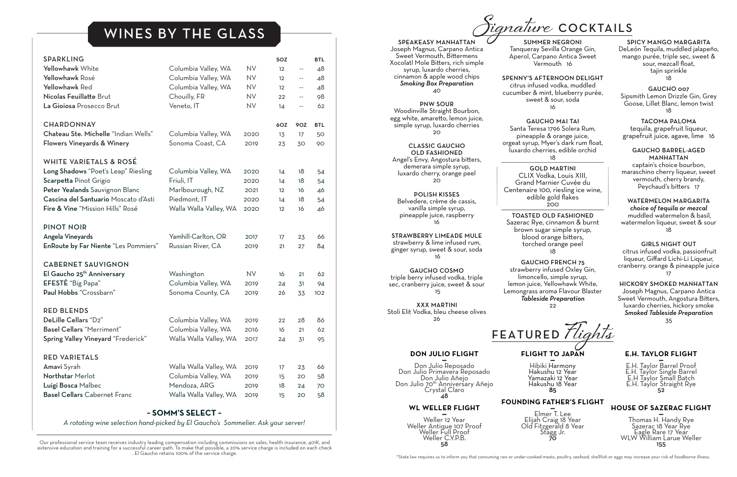#### **DON JULIO FLIGHT —** Don Julio Reposado

Don Julio Primavera Reposado Don Julio Añejo Don Julio 70<sup>th</sup> Anniversary Añejo Crystal Claro 48

### **WL WELLER FLIGHT**

**—** Weller 12 Year Weller Antique 107 Proof Weller Full Proof Weller C.Y.P.B. 58

**FLIGHT TO JAPAN —**

Hibiki Harmony Hakushu 12 Year Yamazaki 12 Year Hakushu 18 Year 85

**FOUNDING FATHER'S FLIGHT —**

Elmer T. Lee Elijah Craig 18 Year Old Fitzgerald 8 Year Stagg Jr. 70

### **E.H. TAYLOR FLIGHT**

**—** E.H. Taylor Barrel Proof E.H. Taylor Single Barrel E.H Taylor Small Batch E.H. Taylor Straight Rye 52

### **HOUSE OF SAZERAC FLIGHT**

**—** Thomas H. Handy Rye Sazerac 18 Year Rye Eagle Rare 17 Year WLW William Larue Weller 155

SPEAKEASY MANHATTAN Joseph Magnus, Carpano Antica Sweet Vermouth, Bittermens Xocolatl Mole Bitters, rich simple syrup, luxardo cherries, cinnamon & apple wood chips *Smoking Box Preparation* 40

PNW SOUR Woodinville Straight Bourbon, egg white, amaretto, lemon juice, simple syrup, luxardo cherries 20

CLASSIC GAUCHO OLD FASHIONED Angel's Envy, Angostura bitters, demerara simple syrup, luxardo cherry, orange peel 20

POLISH KISSES Belvedere, crème de cassis, vanilla simple syrup, pineapple juice, raspberry 16

STRAWBERRY LIMEADE MULE strawberry & lime infused rum, ginger syrup, sweet & sour, soda 16

MANHATTAN captain's choice bourbon, maraschino cherry liqueur, sweet vermouth, cherry brandy, Peychaud's bitters 17

GAUCHO COSMO triple berry infused vodka, triple sec, cranberry juice, sweet & sour 15

XXX MARTINI Stoli Elit Vodka, bleu cheese olives 26

SUMMER NEGRONI Tanqueray Sevilla Orange Gin, Aperol, Carpano Antica Sweet Vermouth 16

SPENNY'S AFTERNOON DELIGHT citrus infused vodka, muddled cucumber & mint, blueberry purée, sweet & sour, soda 16

GAUCHO MAI TAI Santa Teresa 1796 Solera Rum, pineapple & orange juice, orgeat syrup, Myer's dark rum float, luxardo cherries, edible orchid 18

GOLD MARTINI CLIX Vodka, Louis XIII, Grand Marnier Cuvée du Centenaire 100, riesling ice wine, edible gold flakes 200

TOASTED OLD FASHIONED Sazerac Rye, cinnamon & burnt brown sugar simple syrup, blood orange bitters, torched orange peel 18

GAUCHO FRENCH 75 strawberry infused Oxley Gin, limoncello, simple syrup, lemon juice, Yellowhawk White, Lemongrass aroma Flavour Blaster *Tableside Preparation* 22

#### SPICY MANGO MARGARITA

DeLeón Tequila, muddled jalapeño, mango purée, triple sec, sweet & sour, mezcall float, tajin sprinkle 18

GAUCHO 007 Sipsmith Lemon Drizzle Gin, Grey Goose, Lillet Blanc, lemon twist 18

TACOMA PALOMA tequila, grapefruit liqueur, grapefruit juice, agave, lime 16

#### GAUCHO BARREL-AGED

WATERMELON MARGARITA *choice of tequila or mezcal* muddled watermelon & basil, watermelon liqueur, sweet & sour 18

#### GIRLS NIGHT OUT

citrus infused vodka, passionfruit liqueur, Giffard Lichi-Li Liqueur, cranberry, orange & pineapple juice 17

HICKORY SMOKED MANHATTAN Joseph Magnus, Carpano Antica

Sweet Vermouth, Angostura Bitters, luxardo cherries, hickory smoke *Smoked Tableside Preparation* 35

# **Signature** COCKTAILS

\*State law requires us to inform you that consuming raw or under-cooked meats, poultry, seafood, shellfish or eggs may increase your risk of foodborne illness.

| <b>SPARKLING</b><br>Yellowhawk White<br>Yellowhawk Rosé<br>Yellowhawk Red<br>Nicolas Feuillatte Brut<br>La Gioiosa Prosecco Brut                                                                                 | Columbia Valley, WA<br>Columbia Valley, WA<br>Columbia Valley, WA<br>Chouilly, FR<br>Veneto, IT | <b>NV</b><br><b>NV</b><br><b>NV</b><br><b>NV</b><br><b>NV</b> | <b>5OZ</b><br>12<br>12<br>12<br>22<br>14 | $\overline{\phantom{a}}$<br>$\overline{\phantom{a}}$<br>$- -$<br>$\overline{\phantom{m}}$<br>$- -$ | <b>BTL</b><br>48<br>48<br>48<br>98<br>62 |
|------------------------------------------------------------------------------------------------------------------------------------------------------------------------------------------------------------------|-------------------------------------------------------------------------------------------------|---------------------------------------------------------------|------------------------------------------|----------------------------------------------------------------------------------------------------|------------------------------------------|
| <b>CHARDONNAY</b>                                                                                                                                                                                                |                                                                                                 |                                                               | 6OZ                                      | 90Z                                                                                                | <b>BTL</b>                               |
| Chateau Ste. Michelle "Indian Wells"<br>Flowers Vineyards & Winery                                                                                                                                               | Columbia Valley, WA<br>Sonoma Coast, CA                                                         | 2020<br>2019                                                  | 13<br>23                                 | 17<br>30                                                                                           | 50<br>90                                 |
| <b>WHITE VARIETALS &amp; ROSÉ</b><br>Long Shadows "Poet's Leap" Riesling<br>Scarpetta Pinot Grigio<br>Peter Yealands Sauvignon Blanc<br>Cascina del Santuario Moscato d'Asti<br>Fire & Vine "Mission Hills" Rosé | Columbia Valley, WA<br>Friuli, IT<br>Marlbourough, NZ<br>Piedmont, IT<br>Walla Walla Valley, WA | 2020<br>2020<br>2021<br>2020<br>2020                          | 14<br>14<br>12<br>14<br>12               | 18<br>18<br>16<br>18<br>16                                                                         | 54<br>54<br>46<br>54<br>46               |
| <b>PINOT NOIR</b>                                                                                                                                                                                                |                                                                                                 |                                                               |                                          |                                                                                                    |                                          |
| Angela Vineyards<br>EnRoute by Far Niente "Les Pommiers"                                                                                                                                                         | Yamhill-Carlton, OR<br>Russian River, CA                                                        | 2017<br>2019                                                  | 17<br>21                                 | 23<br>27                                                                                           | 66<br>84                                 |
| <b>CABERNET SAUVIGNON</b><br>El Gaucho 25 <sup>th</sup> Anniversary<br>EFESTE "Big Papa"<br>Paul Hobbs "Crossbarn"                                                                                               | Washington<br>Columbia Valley, WA<br>Sonoma County, CA                                          | <b>NV</b><br>2019<br>2019                                     | 16<br>24<br>26                           | 21<br>31<br>33                                                                                     | 62<br>94<br>102                          |
| <b>RED BLENDS</b><br>DeLille Cellars "D2"<br><b>Basel Cellars</b> "Merriment"<br>Spring Valley Vineyard "Frederick"                                                                                              | Columbia Valley, WA<br>Columbia Valley, WA<br>Walla Walla Valley, WA                            | 2019<br>2016<br>2017                                          | 22<br>16<br>24                           | 28<br>21<br>31                                                                                     | 86<br>62<br>95                           |
| RED VARIETALS<br>Amavi Syrah<br>Northstar Merlot<br>Luigi Bosca Malbec<br><b>Basel Cellars Cabernet Franc</b>                                                                                                    | Walla Walla Valley, WA<br>Columbia Valley, WA<br>Mendoza, ARG<br>Walla Walla Valley, WA         | 2019<br>2019<br>2019<br>2019                                  | 17<br>15<br>18<br>15                     | 23<br>20<br>24<br>20                                                                               | 66<br>58<br>70<br>58                     |

#### **~ SOMM'S SELECT ~**

*A rotating wine selection hand-picked by El Gaucho's Sommelier. Ask your server!*

# WINES BY THE GLASS

Our professional service team receives industry leading compensation including commissions on sales, health insurance, 401K, and extensive education and training for a successful career path. To make that possible, a 20% service charge is included on each check . El Gaucho retains 100% of the service charge.

FEATURED **Flights**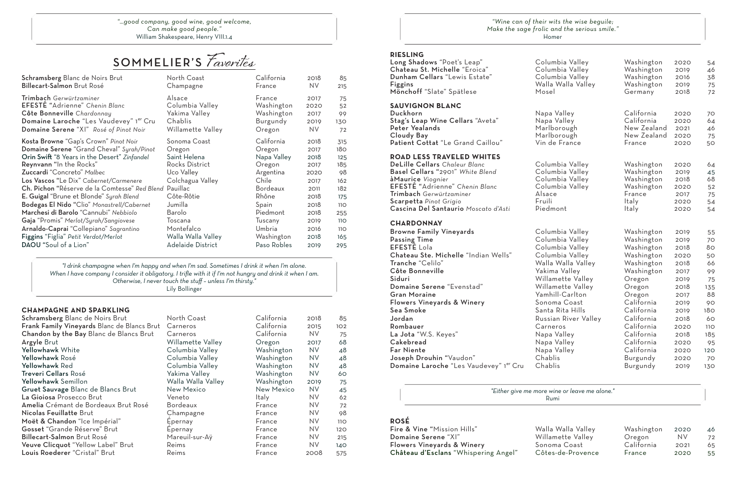#### **CHAMPAGNE AND SPARKLING**

| Schramsberg Blanc de Noirs Brut                    | North Coast        | California        | 2018      | 85  |
|----------------------------------------------------|--------------------|-------------------|-----------|-----|
| <b>Frank Family Vineyards Blanc de Blancs Brut</b> | Carneros           | California        | 2015      | 102 |
| Chandon by the Bay Blanc de Blancs Brut            | Carneros           | California        | <b>NV</b> | 75  |
| Argyle Brut                                        | Willamette Valley  | Oregon            | 2017      | 68  |
| Yellowhawk White                                   | Columbia Valley    | Washington        | <b>NV</b> | 48  |
| Yellowhawk Rosé                                    | Columbia Valley    | Washington        | <b>NV</b> | 48  |
| Yellowhawk Red                                     | Columbia Valley    | Washington        | <b>NV</b> | 48  |
| Treveri Cellars Rosé                               | Yakima Valley      | Washington        | <b>NV</b> | 60  |
| Yellowhawk Semillon                                | Walla Walla Valley | Washington        | 2019      | 75  |
| Gruet Sauvage Blanc de Blancs Brut                 | New Mexico         | <b>New Mexico</b> | <b>NV</b> | 45  |
| La Gioiosa Prosecco Brut                           | Veneto             | <b>Italy</b>      | <b>NV</b> | 62  |
| Amelia Crémant de Bordeaux Brut Rosé               | <b>Bordeaux</b>    | France            | <b>NV</b> | 72  |
| Nicolas Feuillatte Brut                            | Champagne          | France            | <b>NV</b> | 98  |
| Moët & Chandon "Ice Impérial"                      | Epernay            | France            | <b>NV</b> | 110 |
| Gosset "Grande Réserve" Brut                       | Epernay            | France            | <b>NV</b> | 120 |
| Billecart-Salmon Brut Rosé                         | Mareuil-sur-Aÿ     | France            | <b>NV</b> | 215 |
| Veuve Clicquot "Yellow Label" Brut                 | Reims              | France            | NV.       | 140 |
| Louis Roederer "Cristal" Brut                      | Reims              | France            | 2008      | 575 |

| "Wine can of the  |  |
|-------------------|--|
| Make the sage fro |  |

 $e$ *ir wits the wise beguile; Make the sage frolic and the serious smile."* Homer

*"…good company, good wine, good welcome, Can make good people."* William Shakespeare, Henry VIII.1.4

| <b>RIESLING</b><br>Long Shadows "Poet's Leap"<br>Chateau St. Michelle "Eroica"<br>Dunham Cellars "Lewis Estate"<br>Figgins<br>Mönchoff "Slate" Spätlese                                                                                                                                                       | Columbia Valley<br>Columbia Valley<br>Columbia Valley<br>Walla Walla Valley<br>Mosel                                                                                                                                                     | Washington<br>Washington<br>Washington<br>Washington<br>Germany                                                                                          | 2020<br>2019<br>2016<br>2019<br>2018                                                         | 54<br>46<br>38<br>75<br>72                                             |
|---------------------------------------------------------------------------------------------------------------------------------------------------------------------------------------------------------------------------------------------------------------------------------------------------------------|------------------------------------------------------------------------------------------------------------------------------------------------------------------------------------------------------------------------------------------|----------------------------------------------------------------------------------------------------------------------------------------------------------|----------------------------------------------------------------------------------------------|------------------------------------------------------------------------|
| <b>SAUVIGNON BLANC</b><br>Duckhorn<br>Stag's Leap Wine Cellars "Aveta"<br>Peter Yealands<br>Cloudy Bay<br>Patient Cottat "Le Grand Caillou"                                                                                                                                                                   | Napa Valley<br>Napa Valley<br>Marlborough<br>Marlborough<br>Vin de France                                                                                                                                                                | California<br>California<br>New Zealand<br>New Zealand<br>France                                                                                         | 2020<br>2020<br>2021<br>2020<br>2020                                                         | 70<br>64<br>46<br>75<br>50                                             |
| <b>ROAD LESS TRAVELED WHITES</b><br>DeLille Cellars Chaleur Blanc<br>Basel Cellars "2901" White Blend<br>àMaurice Viognier<br>EFESTE "Adrienne" Chenin Blanc<br>Trimbach Gerwürtzaminer<br>Scarpetta Pinot Grigio<br>Cascina Del Santaurio Moscato d'Asti                                                     | Columbia Valley<br>Columbia Valley<br>Columbia Valley<br>Columbia Valley<br>Alsace<br>Fruili<br>Piedmont                                                                                                                                 | Washington<br>Washington<br>Washington<br>Washington<br>France<br>ltaly<br>Italy                                                                         | 2020<br>2019<br>2018<br>2020<br>2017<br>2020<br>2020                                         | 64<br>45<br>68<br>52<br>75<br>54<br>54                                 |
| <b>CHARDONNAY</b><br><b>Browne Family Vineyards</b><br><b>Passing Time</b><br><b>EFESTE Lola</b><br>Chateau Ste. Michelle "Indian Wells"<br>Tranche "Celilo"<br>Côte Bonneville<br>Siduri<br>Domaine Serene "Evenstad"<br><b>Gran Moraine</b><br><b>Flowers Vineyards &amp; Winery</b><br>Sea Smoke<br>Jordan | Columbia Valley<br>Columbia Valley<br>Columbia Valley<br>Columbia Valley<br>Walla Walla Valley<br>Yakima Valley<br>Willamette Valley<br>Willamette Valley<br>Yamhill-Carlton<br>Sonoma Coast<br>Santa Rita Hills<br>Russian River Valley | Washington<br>Washington<br>Washington<br>Washington<br>Washington<br>Washington<br>Oregon<br>Oregon<br>Oregon<br>California<br>California<br>California | 2019<br>2019<br>2018<br>2020<br>2018<br>2017<br>2019<br>2018<br>2017<br>2019<br>2019<br>2018 | 55<br>70<br>80<br>50<br>66<br>99<br>75<br>135<br>88<br>90<br>180<br>60 |
| Rombauer                                                                                                                                                                                                                                                                                                      | Carneros                                                                                                                                                                                                                                 | California                                                                                                                                               | 2020                                                                                         | <b>110</b>                                                             |
| La Jota "W.S. Keyes"<br>Cakebread                                                                                                                                                                                                                                                                             | Napa Valley<br>Napa Valley                                                                                                                                                                                                               | California<br>California                                                                                                                                 | 2018<br>2020                                                                                 | 185<br>95                                                              |
| Far Niente                                                                                                                                                                                                                                                                                                    | Napa Valley                                                                                                                                                                                                                              | California                                                                                                                                               | 2020                                                                                         | 120                                                                    |
| Joseph Drouhin "Vaudon"                                                                                                                                                                                                                                                                                       | Chablis                                                                                                                                                                                                                                  | Burgundy                                                                                                                                                 | 2020                                                                                         | 70                                                                     |
| Domaine Laroche "Les Vaudevey" 1er Cru                                                                                                                                                                                                                                                                        | Chablis                                                                                                                                                                                                                                  | Burgundy                                                                                                                                                 | 2019                                                                                         | 130                                                                    |

#### **ROSÉ**

| Walla Walla Valley | Washington | 2020 | 46 |
|--------------------|------------|------|----|
| Willamette Valley  | Oregon     | NV.  | 72 |
| Sonoma Coast       | California | 2021 | 65 |
| Côtes-de-Provence  | France     | 2020 | 55 |
|                    |            |      |    |

*"Either give me more wine or leave me alone."* Rumi

*"I drink champagne when I'm happy and when I'm sad. Sometimes I drink it when I'm alone. When I have company I consider it obligatory. I trifle with it if I'm not hungry and drink it when I am. Otherwise, I never touch the stuff – unless I'm thirsty."* Lily Bollinger

# SOMMELIER'S **Favorites**

| Schramsberg Blanc de Noirs Brut               | North Coast        | California      | 2018      | 85              |
|-----------------------------------------------|--------------------|-----------------|-----------|-----------------|
| Billecart-Salmon Brut Rosé                    | Champagne          | France          | <b>NV</b> | 215             |
| Trimbach Gerwürtzaminer                       | Alsace             | France          | 2017      | 75              |
| EFESTE "Adrienne" Chenin Blanc                | Columbia Valley    | Washington      | 2020      | 52              |
| Côte Bonneville Chardonnay                    | Yakima Valley      | Washington      | 2017      | 99              |
| Domaine Laroche "Les Vaudevey" 1er Cru        | Chablis            | Burgundy        | 2019      | 130             |
| Domaine Serene "XI" Rosé of Pinot Noir        | Willamette Valley  | Oregon          | NV.       | 72              |
| Kosta Browne "Gap's Crown" Pinot Noir         | Sonoma Coast       | California      | 2018      | 315             |
| Domaine Serene "Grand Cheval" Syrah/Pinot     | Oregon             | Oregon          | 2017      | 18 <sub>O</sub> |
| Orin Swift "8 Years in the Desert" Zinfandel  | Saint Helena       | Napa Valley     | 2018      | 125             |
| Reynvann "In the Rocks"                       | Rocks District     | Oregon          | 2017      | 185             |
| Zuccardi "Concreto" Malbec                    | Uco Valley         | Argentina       | 2020      | 98              |
| Los Vascos "Le Dix" Cabernet/Carmenere        | Colchagua Valley   | Chile           | 2017      | 162             |
| Ch. Pichon "Réserve de la Comtesse" Red Blend | Pauillac           | <b>Bordeaux</b> | 2011      | 182             |
| E. Guigal "Brune et Blonde" Syrah Blend       | Côte-Rôtie         | Rhône           | 2018      | 175             |
| Bodegas El Nido "Clio" Monastrell/Cabernet    | Jumilla            | Spain           | 2018      | 110             |
| Marchesi di Barolo "Cannubi" Nebbiolo         | Barolo             | Piedmont        | 2018      | 255             |
| Gaja "Promis" Merlot/Syrah/Sangiovese         | Toscana            | Tuscany         | 2019      | <b>110</b>      |
| Arnaldo-Caprai "Collepiano" Sagrantino        | Montefalco         | Umbria          | 2016      | 110             |
| Figgins "Figlia" Petit Verdot/Merlot          | Walla Walla Valley | Washington      | 2018      | 165             |
| DAOU "Soul of a Lion"                         | Adelaide District  | Paso Robles     | 2019      | 295             |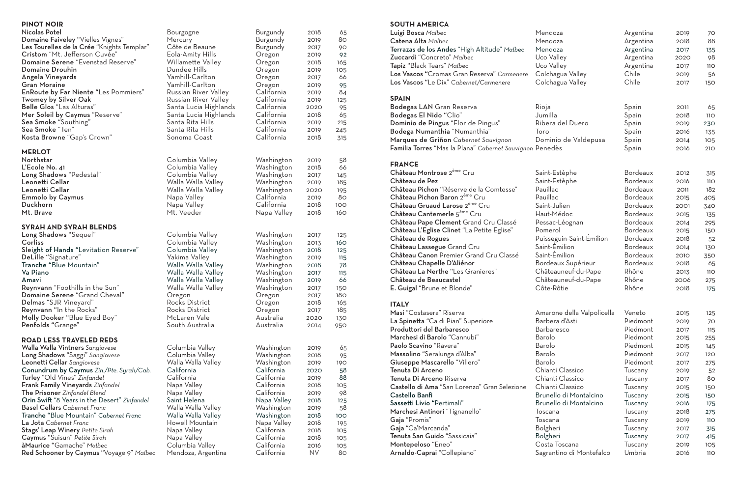#### **SOUTH AMERICA**

| Luigi Bosca Malbec                                       | Mendoza                    | Argentina       | 2019 | 70         |
|----------------------------------------------------------|----------------------------|-----------------|------|------------|
| Catena Alta Malbec                                       | Mendoza                    | Argentina       | 2018 | 88         |
| Terrazas de los Andes "High Altitude" Malbec             | Mendoza                    | Argentina       | 2017 | 135        |
| Zuccardi "Concreto" Malbec                               | Uco Valley                 | Argentina       | 2020 | 98         |
| Tapiz "Black Tears" Malbec                               | Uco Valley                 | Argentina       | 2017 | <b>110</b> |
| Los Vascos "Cromas Gran Reserva" Carmenere               | Colchagua Valley           | Chile           | 2019 | 56         |
| Los Vascos "Le Dix" Cabernet/Carmenere                   | Colchagua Valley           | Chile           | 2017 | 150        |
| <b>SPAIN</b>                                             |                            |                 |      |            |
| Bodegas LAN Gran Reserva                                 | Rioja                      | Spain           | 2011 | 65         |
| Bodegas El Nido "Clio"                                   | Jumilla                    | Spain           | 2018 | 11O        |
| Dominio de Pingus "Flor de Pingus"                       | Ribera del Duero           | Spain           | 2019 | 230        |
| Bodega Numanthia "Numanthia"                             | Toro                       | Spain           | 2016 | 135        |
| Marques de Griñon Cabernet Sauvignon                     | Dominio de Valdepusa       | Spain           | 2014 | 105        |
| Familia Torres "Mas la Plana" Cabernet Sauvignon Penedès |                            | Spain           | 2016 | 210        |
| <b>FRANCE</b>                                            |                            |                 |      |            |
| Château Montrose 2 <sup>ème</sup> Cru                    | Saint-Estèphe              | <b>Bordeaux</b> | 2012 | 315        |
| Château de Pez                                           | Saint-Estèphe              | Bordeaux        | 2016 | <b>110</b> |
| Château Pichon "Réserve de la Comtesse"                  | Pauillac                   | <b>Bordeaux</b> | 2011 | 182        |
| Château Pichon Baron 2 <sup>ème</sup> Cru                | Pauillac                   | <b>Bordeaux</b> | 2015 | 405        |
| Château Gruaud Larose 2 <sup>ème</sup> Cru               | Saint-Julien               | <b>Bordeaux</b> | 2001 | 340        |
| Château Cantemerle 5 <sup>ème</sup> Cru                  | Haut-Médoc                 | Bordeaux        | 2015 | 135        |
| Château Pape Clement Grand Cru Classé                    | Pessac-Léognan             | Bordeaux        | 2014 | 295        |
| Château L'Eglise Clinet "La Petite Eglise"               | Pomerol                    | <b>Bordeaux</b> | 2015 | 150        |
| Château de Rogues                                        | Puisseguin-Saint-Émilion   | Bordeaux        | 2018 | 52         |
| Château Lassegue Grand Cru                               | Saint-Emilion              | Bordeaux        | 2014 | 130        |
| Château Canon Premier Grand Cru Classé                   | Saint-Émilion              | <b>Bordeaux</b> | 2010 | 350        |
| Château Chapelle D'Aliénor                               | Bordeaux Supérieur         | Bordeaux        | 2018 | 65         |
| Château La Nerthe "Les Granieres"                        | Châteauneuf-du-Pape        | Rhône           | 2013 | <b>110</b> |
| Château de Beaucastel                                    | Châteauneuf-du-Pape        | Rhône           | 2006 | 275        |
| E. Guigal "Brune et Blonde"                              | Côte-Rôtie                 | Rhône           | 2018 | 175        |
| <b>ITALY</b>                                             |                            |                 |      |            |
| Masi "Costasera" Riserva                                 | Amarone della Valpolicella | Veneto          | 2015 | 125        |
| La Spinetta "Ca di Pian" Superiore                       | Barbera d'Asti             | Piedmont        | 2019 | 70         |
| Produttori del Barbaresco                                | <b>Barbaresco</b>          | Piedmont        | 2017 | 115        |
| Marchesi di Barolo "Cannubi"                             | Barolo                     | Piedmont        | 2015 | 255        |
| Paolo Scavino "Ravera"                                   | Barolo                     | Piedmont        | 2015 | 145        |
| Massolino "Seralunga d'Alba"                             | Barolo                     | Piedmont        | 2017 | 120        |
| Giuseppe Mascarello "Villero"                            | Barolo                     | Piedmont        | 2017 | 275        |
| Tenuta Di Arceno                                         | Chianti Classico           | Tuscany         | 2019 | 52         |
| Tenuta Di Arceno Riserva                                 | Chianti Classico           | Tuscany         | 2017 | 80         |
| Castello di Ama "San Lorenzo" Gran Selezione             | Chianti Classico           | Tuscany         | 2015 | 150        |
| Castello Banfi                                           | Brunello di Montalcino     | Tuscany         | 2015 | 150        |
| Sassetti Livio "Pertimali"                               | Brunello di Montalcino     | Tuscany         | 2016 | 175        |
| Marchesi Antinori "Tignanello"                           | Toscana                    | Tuscany         | 2018 | 275        |
| Gaja "Promis"                                            | Toscana                    | Tuscany         | 2019 | <b>110</b> |
| Gaja "Ca'Marcanda"                                       | Bolgheri                   | Tuscany         | 2017 | 315        |
| Tenuta San Guido "Sassicaia"                             | Bolgheri                   | Tuscany         | 2017 | 415        |
| Montepeloso "Eneo"                                       | Costa Toscana              | Tuscany         | 2019 | 105        |
| Arnaldo-Caprai "Collepiano"                              | Sagrantino di Montefalco   | Umbria          | 2016 | <b>110</b> |

The Prisoner *Zinfandel Blend* Napa Valley California 2019 98 Orin Swift "8 Years in the Desert" Zinfandel Saint Helena Napa Valley 2018 125<br>Basel Cellars Cabernet Franc Walla Walla Valley Nashington 2019 58 Basel Cellars *Cabernet Franc* Walla Walla Valley Washington 2019 58 Tranche "Blue Mountain" *Cabernet Franc* Walla Walla Valley Washington 2018 100 La Jota *Cabernet Franc* Howell Mountain Napa Valley 2018 195 Stags' Leap Winery *Petite Sirah* Napa Valley California 2018 105 Caymus "Suisun" *Petite Sirah* Napa Valley California 2018 105 àMaurice "Gamache" *Malbec* Columbia Valley California 2016 105 Red Schooner by Caymus "Voyage 9" Malbec Mendoza, Argentina California NV 80

#### **PINOT NOIR**

| Nicolas Potel                                                    | Bourgogne             | Burgundy    | 2018 | 65              |
|------------------------------------------------------------------|-----------------------|-------------|------|-----------------|
| Domaine Faiveley "Vielles Vignes"                                | Mercury               | Burgundy    | 2019 | 80              |
| Les Tourelles de la Crée "Knights Templar"                       | Côte de Beaune        | Burgundy    | 2017 | 90              |
| Cristom "Mt. Jefferson Cuvée"                                    | Eola-Amity Hills      | Oregon      | 2019 | 92              |
| Domaine Serene "Evenstad Reserve"                                | Willamette Valley     | Oregon      | 2018 | 165             |
| Domaine Drouhin                                                  | Dundee Hills          | Oregon      | 2019 | 105             |
| Angela Vineyards                                                 | Yamhill-Carlton       | Oregon      | 2017 | 66              |
| <b>Gran Moraine</b>                                              | Yamhill-Carlton       | Oregon      | 2019 | 95              |
| <b>EnRoute by Far Niente "Les Pommiers"</b>                      | Russian River Valley  | California  | 2019 | 84              |
| <b>Twomey by Silver Oak</b>                                      | Russian River Valley  | California  | 2019 | 125             |
| Belle Glos "Las Alturas"                                         | Santa Lucia Highlands | California  | 2020 | 95              |
| Mer Soleil by Caymus "Reserve"                                   | Santa Lucia Highlands | California  | 2018 | 65              |
| Sea Smoke "Southing"                                             | Santa Rita Hills      | California  | 2019 | 215             |
| Sea Smoke "Ten"                                                  | Santa Rita Hills      | California  | 2019 | 245             |
| Kosta Browne "Gap's Crown"                                       | Sonoma Coast          | California  | 2018 | 315             |
|                                                                  |                       |             |      |                 |
| <b>MERLOT</b>                                                    |                       |             |      |                 |
| Northstar                                                        | Columbia Valley       | Washington  | 2019 | 58              |
| L'Ecole No. 41                                                   | Columbia Valley       | Washington  | 2018 | 66              |
| Long Shadows "Pedestal"                                          | Columbia Valley       | Washington  | 2017 | 145             |
| Leonetti Cellar                                                  | Walla Walla Valley    | Washington  | 2019 | 185             |
| Leonetti Cellar                                                  | Walla Walla Valley    | Washington  | 2020 | 195             |
| <b>Emmolo by Caymus</b>                                          | Napa Valley           | California  | 2019 | 80              |
| Duckhorn                                                         | Napa Valley           | California  | 2018 | 100             |
| Mt. Brave                                                        | Mt. Veeder            | Napa Valley | 2018 | 160             |
|                                                                  |                       |             |      |                 |
| <b>SYRAH AND SYRAH BLENDS</b>                                    |                       |             |      |                 |
| Long Shadows "Sequel"                                            | Columbia Valley       | Washington  | 2017 | 125             |
| Corliss                                                          | Columbia Valley       | Washington  | 2013 | 160             |
| Sleight of Hands "Levitation Reserve"                            | Columbia Valley       | Washington  | 2018 | 125             |
| DeLille "Signature"                                              | Yakima Valley         | Washington  | 2019 | 115             |
| Tranche "Blue Mountain"                                          | Walla Walla Valley    | Washington  | 2018 | 78              |
| Va Piano                                                         | Walla Walla Valley    | Washington  | 2017 | 115             |
| Amavi                                                            | Walla Walla Valley    | Washington  | 2019 | 66              |
| Reynvann "Foothills in the Sun"                                  | Walla Walla Valley    | Washington  | 2017 | 150             |
| Domaine Serene "Grand Cheval"                                    | Oregon                | Oregon      | 2017 | 18 <sub>O</sub> |
| Delmas "SJR Vineyard"                                            | Rocks District        | Oregon      | 2018 | 165             |
| Reynvann "In the Rocks"                                          | Rocks District        | Oregon      | 2017 | 185             |
| Molly Dooker "Blue Eyed Boy"                                     | McLaren Vale          | Australia   | 2020 | 130             |
| Penfolds "Grange"                                                | South Australia       | Australia   | 2014 | 950             |
|                                                                  |                       |             |      |                 |
| <b>ROAD LESS TRAVELED REDS</b>                                   |                       |             |      |                 |
| Walla Walla Vintners Sangiovese                                  | Columbia Valley       | Washington  | 2019 | 65              |
| Long Shadows "Saggi" Sangiovese                                  | Columbia Valley       | Washington  | 2018 | 95              |
| Leonetti Cellar Sangiovese                                       | Walla Walla Valley    | Washington  | 2019 | 190             |
| Conundrum by Caymus Zin./Pte. Syrah/Cab.                         | California            | California  | 2020 | 58              |
| Turley "Old Vines" Zinfandel<br>Frank Family Vineyards Zinfandel | California            | California  | 2019 | 88              |
|                                                                  | Napa Valley           | California  | 2018 | 105             |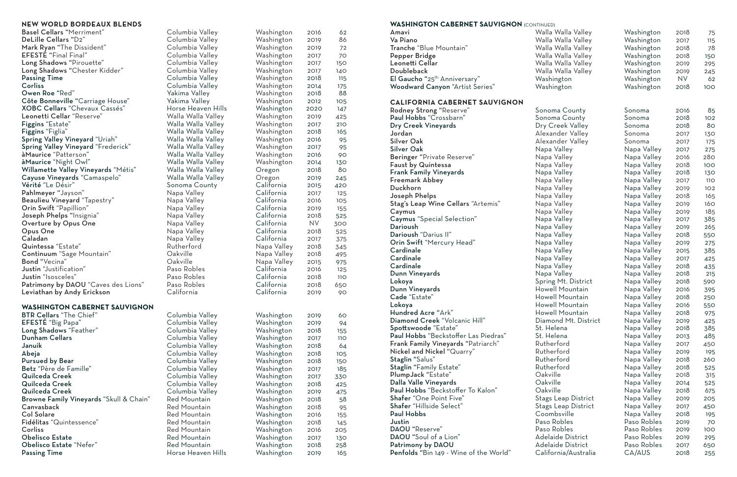Basel Cellars "Merriment" Columbia Valley Washington 2016 62 DeLille Cellars "D2" Columbia Valley<br>
Mark Rvan "The Dissident" Columbia Valley Mark Ryan "The Dissident" Columbia Valley Washington 2019 72 EFESTÉ "Final Final" Long Shadows "Pirouette" Columbia Valley<br>
Long Shadows "Chester Kidder" Columbia Valley Long Shadows "Chester Kidder"<br>Passing Time Passing Time<br>
Columbia Valley<br>
Columbia Valley Owen Roe "Red" Yakima Valley<br>Côte Bonneville "Carriage House" Yakima Valley Côte Bonneville "Carriage House" Yakima Valley<br>XOBC Cellars "Chevaux Cassés" Horse Heaven Hills XOBC Cellars "Chevaux Cassés" Horse Heaven Hills<br>
Leonetti Cellar "Reserve" Walla Walla Valley Leonetti Cellar "Reserve"<br>Figgins "Estate" Figgins "Estate" National Malla Walla Valley<br>1991 - Tiggins "Figlia" Malla Walla Valley Walla Valley Spring Valley Vineyard "Uriah" Walla Walla Valley<br>
Spring Valley Vineyard "Frederick" Walla Walla Valley Spring Valley Vineyard "Frederick"<br>
à Maurice "Patterson" àMaurice "Night Owl" Walla Walla Valley Washington 2014 130 Willamette Valley Vineyards "Métis" Walla Walla Valley<br>Cayuse Vineyards "Camaspelo" Walla Walla Valley Cayuse Vineyards "Camaspelo"<br>Vérité "Le Désir" Pahlmeyer "Jayson" Napa Valley California 2017 125 Beaulieu Vineyard "Tapestry" Napa Valley<br>
Orin Swift "Papillion" Napa Valley Orin Swift "Papillion" Napa Valley California 2019 155 Joseph Phelps "Insignia" Napa Valley<br>
Overture by Opus One Napa Valley Overture by Opus One Opus One Napa Valley California 2018 525 Quintessa "Estate" Rutherford Napa Valley 2018 345 Continuum "Sage Mountain" Oakville Napa Valley 2018 495 Bond "Vecina" Oakville Napa Valley 2015 975 **Justin** "Justification" Paso Robles<br> **Justin** "Isosceles" Paso Robles Justin "Isosceles" Paso Robles<br>Patrimony by DAOU "Caves des Lions" Paso Robles Patrimony by DAOU "Caves des Lions" Paso Roble<br>Leviathan by Andy Erickson California Leviathan by Andy Erickson

| <b>WASHINGTON CADERNET SAUVIGNON (CONTINUED)</b>    |                      |             |           |            |
|-----------------------------------------------------|----------------------|-------------|-----------|------------|
| Amavi                                               | Walla Walla Valley   | Washington  | 2018      | 75         |
| Va Piano                                            | Walla Walla Valley   | Washington  | 2017      | 115        |
| Tranche "Blue Mountain"                             | Walla Walla Valley   | Washington  | 2018      | 78         |
| Pepper Bridge                                       | Walla Walla Valley   | Washington  | 2018      | 150        |
| Leonetti Cellar                                     | Walla Walla Valley   | Washington  | 2019      | 295        |
| Doubleback                                          | Walla Walla Valley   | Washington  | 2019      | 245        |
| El Gaucho "25 <sup>th</sup> Anniversary"            | Washington           | Washington  | <b>NV</b> | 62         |
| Woodward Canyon "Artist Series"                     | Washington           | Washington  | 2018      | 100        |
| <b>CALIFORNIA CABERNET SAUVIGNON</b>                |                      |             |           |            |
| Rodney Strong "Reserve"                             | Sonoma County        | Sonoma      | 2016      | 85         |
| Paul Hobbs "Crossbarn"                              | Sonoma County        | Sonoma      | 2018      | 102        |
| Dry Creek Vineyards                                 | Dry Creek Valley     | Sonoma      | 2018      | 80         |
| Jordan                                              | Alexander Valley     | Sonoma      | 2017      | 130        |
| <b>Silver Oak</b>                                   | Alexander Valley     | Sonoma      | 2017      | 175        |
| <b>Silver Oak</b>                                   | Napa Valley          | Napa Valley | 2017      | 275        |
| Beringer "Private Reserve"                          | Napa Valley          | Napa Valley | 2016      | 280        |
| <b>Faust by Quintessa</b>                           | Napa Valley          | Napa Valley | 2018      | 100        |
| <b>Frank Family Vineyards</b>                       | Napa Valley          | Napa Valley | 2018      | 130        |
| Freemark Abbey                                      | Napa Valley          | Napa Valley | 2017      | <b>110</b> |
| Duckhorn                                            | Napa Valley          | Napa Valley | 2019      | 102        |
| Joseph Phelps                                       | Napa Valley          | Napa Valley | 2018      | 165        |
| Stag's Leap Wine Cellars "Artemis"                  | Napa Valley          | Napa Valley | 2019      | 160        |
| Caymus                                              | Napa Valley          | Napa Valley | 2019      | 185        |
| <b>Caymus</b> "Special Selection"                   | Napa Valley          | Napa Valley | 2017      | 385        |
| Darioush                                            | Napa Valley          | Napa Valley | 2019      | 265        |
| Darioush "Darius II"                                | Napa Valley          | Napa Valley | 2018      | 550        |
| Orin Swift "Mercury Head"                           | Napa Valley          | Napa Valley | 2019      | 275        |
| Cardinale                                           | Napa Valley          | Napa Valley | 2015      | 385        |
| Cardinale                                           | Napa Valley          | Napa Valley | 2017      | 425        |
| Cardinale                                           | Napa Valley          | Napa Valley | 2018      | 435        |
| Dunn Vineyards                                      | Napa Valley          | Napa Valley | 2018      | 215        |
| Lokoya                                              | Spring Mt. District  | Napa Valley | 2018      | 590        |
| Dunn Vineyards                                      | Howell Mountain      | Napa Valley | 2016      | 395        |
| Cade "Estate"                                       | Howell Mountain      | Napa Valley | 2018      | 250        |
| Lokoya                                              | Howell Mountain      | Napa Valley | 2016      | 550        |
| Hundred Acre "Ark"                                  | Howell Mountain      | Napa Valley | 2018      | 975        |
| Diamond Creek "Volcanic Hill"                       | Diamond Mt. District | Napa Valley | 2019      | 425        |
| Spottswoode "Estate"                                | St. Helena           | Napa Valley | 2018      | 385        |
| Paul Hobbs "Beckstoffer Las Piedras"                | St. Helena           | Napa Valley | 2013      | 485        |
| <b>Frank Family Vineyards "Patriarch"</b>           | Rutherford           | Napa Valley | 2017      | 450        |
| Nickel and Nickel "Quarry"                          | Rutherford           | Napa Valley | 2019      | 195        |
| Staglin "Salus"                                     | Rutherford           | Napa Valley | 2018      | 260        |
| Staglin "Family Estate"                             | Rutherford           | Napa Valley | 2018      | 525        |
| PlumpJack "Estate"                                  | Oakville             | Napa Valley | 2018      | 315        |
| Dalla Valle Vineyards                               | Oakville             | Napa Valley |           |            |
| Paul Hobbs "Beckstoffer To Kalon"                   | Oakville             |             | 2014      | 525        |
|                                                     |                      | Napa Valley | 2018      | 675        |
| Shafer "One Point Five"<br>Shafer "Hillside Select" | Stags Leap District  | Napa Valley | 2019      | 205        |
| <b>Paul Hobbs</b>                                   | Stags Leap District  | Napa Valley | 2017      | 450        |
|                                                     | Coombsville          | Napa Valley | 2018      | 195        |
| Justin                                              | Paso Robles          | Paso Robles | 2019      | 70         |
| DAOU "Reserve"                                      | Paso Robles          | Paso Robles | 2019      | 100        |
| DAOU "Soul of a Lion"                               | Adelaide District    | Paso Robles | 2019      | 295        |
| Patrimony by DAOU                                   | Adelaide District    | Paso Robles | 2017      | 650        |
| Penfolds "Bin 149 - Wine of the World"              | California/Australia | CA/AUS      | 2018      | 255        |

#### **NEW WORLD BORDEAUX BLENDS**

#### **WASHINGTON CABERNET SAUVIGNON**

| <b>BTR Cellars "The Chief"</b>          | Columbia Valley    | Washington | 2019 | 60         |
|-----------------------------------------|--------------------|------------|------|------------|
| EFESTE "Big Papa"                       | Columbia Valley    | Washington | 2019 | 94         |
| Long Shadows "Feather"                  | Columbia Valley    | Washington | 2018 | 155        |
| <b>Dunham Cellars</b>                   | Columbia Valley    | Washington | 2017 | <b>110</b> |
| Januik                                  | Columbia Valley    | Washington | 2018 | 64         |
| Abeja                                   | Columbia Valley    | Washington | 2018 | 105        |
| <b>Pursued by Bear</b>                  | Columbia Valley    | Washington | 2018 | 150        |
| Betz "Père de Famille"                  | Columbia Valley    | Washington | 2017 | 185        |
| Quilceda Creek                          | Columbia Valley    | Washington | 2017 | 330        |
| Quilceda Creek                          | Columbia Valley    | Washington | 2018 | 425        |
| Quilceda Creek                          | Columbia Valley    | Washington | 2019 | 475        |
| Browne Family Vineyards "Skull & Chain" | Red Mountain       | Washington | 2018 | 58         |
| Canvasback                              | Red Mountain       | Washington | 2018 | 95         |
| <b>Col Solare</b>                       | Red Mountain       | Washington | 2016 | 155        |
| Fidélitas "Quintessence"                | Red Mountain       | Washington | 2018 | 145        |
| Corliss                                 | Red Mountain       | Washington | 2016 | 205        |
| <b>Obelisco Estate</b>                  | Red Mountain       | Washington | 2017 | 130        |
| Obelisco Estate "Nefer"                 | Red Mountain       | Washington | 2018 | 258        |
| <b>Passing Time</b>                     | Horse Heaven Hills | Washington | 2019 | 165        |

Columbia Valley<br>Yakima Valley Walla Walla Valley<br>Walla Walla Valley Walla Walla Valley<br>Walla Walla Valley Sonoma County<br>Napa Valley Napa Valley<br>Rutherford Columbia Valley Columbia Valley Columbia Valley Columbia Valley Columbia Valley Columbia Valley Columbia Valley Columbia Valley Columbia Valley Columbia Valley Columbia Valley Red Mountain

| Washington  | 2016 | 62  |
|-------------|------|-----|
| Washington  | 2019 | 86  |
| Washington  | 2019 | 72  |
| Washington  | 2017 | 70  |
| Washington  | 2017 | 150 |
| Washington  | 2017 | 140 |
| Washington  | 2018 | 115 |
| Washington  | 2014 | 175 |
| Washington  | 2018 | 88  |
| Washington  | 2012 | 105 |
| Washington  | 2020 | 147 |
| Washington  | 2019 | 425 |
| Washington  | 2017 | 210 |
| Washington  | 2018 | 165 |
| Washington  | 2016 | 95  |
| Washington  | 2017 | 95  |
| Washington  | 2016 | 90  |
| Washington  | 2014 | 130 |
| Oregon      | 2018 | 80  |
| Oregon      | 2019 | 245 |
| California  | 2015 | 420 |
| California  | 2017 | 125 |
| California  | 2016 | 105 |
| California  | 2019 | 155 |
| California  | 2018 | 525 |
| California  | ΝV   | 300 |
| California  | 2018 | 525 |
| California  | 2017 | 375 |
| Napa Valley | 2018 | 345 |
| Napa Valley | 2018 | 495 |
| Napa Valley | 2015 | 975 |
| California  | 2016 | 125 |
| California  | 2018 | 11O |
| California  | 2018 | 650 |
| California  | 2019 | 90  |
|             |      |     |
| Washington  | 2019 | 60  |
| Washington  | 2019 | 94  |
| Washington  | 2018 | 155 |
| Washington  | 2017 | 11O |
| Washington  | 2018 | 64  |
| Washington  | 2018 | 105 |
| Washington  | 2018 | 150 |
| Washington  | 2017 | 185 |
| Washington  | 2017 | 330 |
| Washington  | 2018 | 425 |
| Washington  | 2019 | 475 |
| Washington  | 2018 | 58  |
| Washington  | 2018 | 95  |
| Washington  | 2016 | 155 |
| Washington  | 2018 | 145 |
| Washington  | 2016 | 205 |
| Washington  | 2017 | 130 |
| Washington  | 2018 | 258 |
|             |      |     |

#### **WASHINGTON CAREBRIT SAHVIGNON**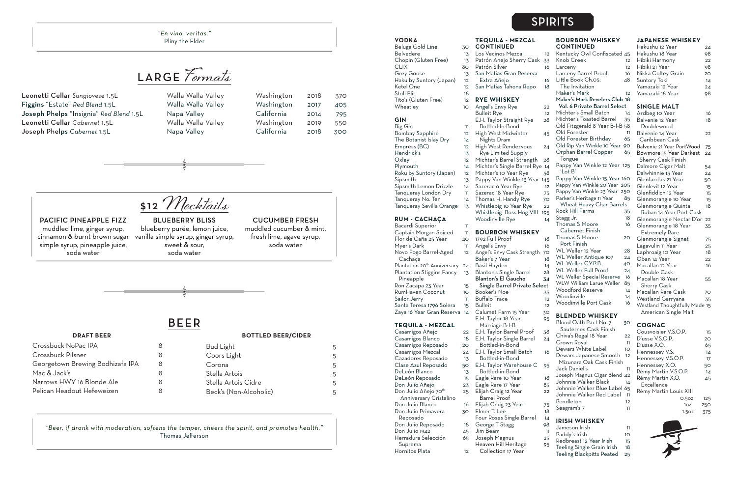LARGE **Formats**

Leonetti Cellar *Sangiovese* 1.5L Walla Walla Valley Walla Valley **Figgins** "Estate" *Red Blend* 1.5L Walla Walla Valley Walla Valley Joseph Phelps "Insignia" *Red Blend* 1.5L Napa Valley C Leonetti Cellar Cabernet 1.5L Walla Walla Valley Walla Valley **Joseph Phelps** Cabernet 1.5L Napa Valley C

| /ashington | 2018 | 370 |
|------------|------|-----|
| /ashington | 2017 | 405 |
| alifornia  | 2014 | 795 |
| /ashington | 2019 | 550 |
| alifornia  | 2018 | 300 |

#### **VODKA**

Beluga Gold Line 30 Belvedere 13 Chopin (Gluten Free) 13 CLIX 80 Grey Goose 13 Haku by Suntory (Japan) 12 Ketel One 12 Stoli Elit 18 Tito's (Gluten Free) 12 Wheatley 10

Big Gin 11 Bombay Sapphire 12 The Botanist Islay Dry 14 Empress (BC) 12 Hendrick's 13 Oxley 12 Plymouth 14 Roku by Suntory (Japan) 12 Sipsmith 13 Sipsmith Lemon Drizzle 14 Tanqueray London Dry 11 Tanqueray No. Ten 14 Tanqueray Sevilla Orange 13

#### **GIN**

Bacardi Superior 11 Captain Morgan Spiced 11 Flor de Caña 25 Year 40 Myer's Dark 11 Novo Fogo Barrel-Aged 12 Cachaça Plantation 20<sup>th</sup> Anniversary 24 Plantation Stiggins Fancy 13 Pineapple Ron Zacapa 23 Year 15 RumHaven Coconut 10 Sailor Jerry 11 Santa Teresa 1796 Solera 15 Zaya 16 Year Gran Reserva 14 **TEQUILA - MEZCAL** Casamigos Añejo Casamigos Blanco 18 Casamigos Reposado 20

#### **RUM - CACHAÇA**

Anniversary Cristalino

- 22 E.H. Taylor Barrel Proof
	- E.H. Taylor Single Barrel
- Casamigos Mezcal 24 Bottled-in-Bond E.H. Taylor Small Batch
- Cazadores Reposado 13 Bottled-in-Bond
- Clase Azul Reposado 50 E.H. Taylor Warehouse C
- DeLeón Blanco 13 Bottled-in-Bond
- DeLeón Reposado 15 Eagle Rare 10 Year
- Don Julio Añejo 23 Eagle Rare 17 Year
- Don Julio Añejo 70<sup>th</sup> 25 Elijah Craig 12 Year
	- Barrel Proof
- Don Julio Blanco 16 Elijah Craig 23 Year
- Don Julio Primavera 30 Elmer T. Lee
	- Four Roses Single Barrel George T Stagg
- Don Julio Reposado 18 Don Julio 1942 45 Jim Beam 11
- Herradura Selección 65 Joseph Magnus
	- Heaven Hill Heritage
- Hornitos Plata 12 Collection 17 Year

Reposado

Suprema

#### **TEQUILA - MEZCAL CONTINUED**

Los Vecinos Mezcal

- Patrón Anejo Sherry Cask 33 Patrón Silver
- San Matias Gran Reserva Extra Añejo 16
- San Matias Tahona Repo 18

#### **RYE WHISKEY**

Angel's Envy Rye Bulleit Rye E.H. Taylor Straight Rye Bottled-In-Bond High West Midwinter 45 Nights Dram High West Rendezvous 24 Rye Limited Supply Michter's Barrel Strength Michter's Single Barrel Rye Michter's 10 Year Rye Pappy Van Winkle 13 Year

- Sazerac 6 Year Rye
- Sazerac 18 Year Rye
- Thomas H. Handy Rye Whistlepig 10 Year Rye

Whistlepig Boss Hog VIII Woodinville Rye

#### **BOURBON WHISKEY**

1792 Full Proof

- 11 Angel's Envy
- 12 Angel's Envy Cask Strength Baker's 7 Year
	- Basil Hayden 14
	- Blanton's Single Barrel
	- Blanton's El Gaucho 34
- Single Barrel Private Sele
- Booker's Noe
- Buffalo Trace
- **Bulleit**
- Calumet Farm 15 Year E.H. Taylor 18 Year

#### Marriage B-I-B

#### **BOURBON WHISKEY CONTINUED**

| <b>Bud Light</b>       | հ |
|------------------------|---|
| Coors Light            | 5 |
| Corona                 | 5 |
| Stella Artois          | 5 |
| Stella Artois Cidre    | 5 |
| Beck's (Non-Alcoholic) | 5 |

| 12  | Kentucky Owl Confiscated 45      |                 |
|-----|----------------------------------|-----------------|
| 33  | Knob Creek                       | 12              |
| 16  | Larceny                          | 12              |
|     | Larceny Barrel Proof             | 16              |
| 16  | Little Book Ch.05:               | 48              |
| 18  | The Invitation                   |                 |
|     | Maker's Mark                     | 12              |
|     | Maker's Mark Revelers Club 18    |                 |
| 22  | Vol. 6 Private Barrel Select     |                 |
| 12  | Michter's Small Batch            | 14              |
| 28  | Michter's Toasted Barrel         | 35              |
|     |                                  |                 |
|     | Old Fitzgerald 8 Year B-I-B 58   |                 |
| 45  | Old Forester                     | 11              |
|     | Old Forester Birthday            | 65              |
| 24  | Old Rip Van Winkle 10 Year       | 90              |
|     | Orphan Barrel Copper             | 65              |
| 28  | Tongue                           |                 |
| 14  | Pappy Van Winkle 12 Year 125     |                 |
| 58  | 'Lot B'                          |                 |
| 145 | Pappy Van Winkle 15 Year 160     |                 |
| 12  | Pappy Van Winkle 20 Year 205     |                 |
| 75  | Pappy Van Winkle 23 Year 250     |                 |
| 70  | Parker's Heritage 11 Year        | 85              |
| 22  | Wheat Heavy Char Barrels         |                 |
| 195 | <b>Rock Hill Farms</b>           | 35              |
| 14  | Stagg Jr.                        | 18              |
|     | Thomas S Moore                   | 16              |
|     | Cabernet Finish                  |                 |
|     | Thomas S Moore                   | 20              |
| 18  | Port Finish                      |                 |
| 16  | WL Weller 12 Year                | 28              |
| 70  | WL Weller Antique 107            | 24              |
| 18  | WL Weller C.Y.P.B.               |                 |
| 14  | WL Weller Full Proof             | 40              |
| 28  |                                  | 24              |
| 34  | <b>WL Weller Special Reserve</b> | 16              |
| :ct | WLW William Larue Weller         | 85              |
| 35  | <b>Woodford Reserve</b>          | 14              |
| 12  | Woodinville                      | $\overline{14}$ |
| 12  | <b>Woodinville Port Cask</b>     | 16              |
| 30  |                                  |                 |
| 95  | <b>BLENDED WHISKEY</b>           |                 |
|     | Blood Oath Pact No. 7            | 30              |
| 38  | Sauternes Cask Finish            |                 |
| 24  | Chiva's Regal 18 Year            | 22              |
|     | Crown Royal                      | 11              |
| 16  | Dewars White Label               | 10              |
|     | Dewars Japanese Smooth           | 12              |
|     | Mizunara Oak Cask Finish         |                 |
| 95  | Jack Danieľs                     | 11              |
|     | Joseph Magnus Cigar Blend        | 42              |
| 18  | Johnnie Walker Black             | 14              |
| 85  | Johnnie Walker Blue Label        | 65              |
| 22  | Johnnie Walker Red Label         | 11              |
|     | Pendleton                        | 12              |
| 75  | Seagram's 7                      | 11              |
| 18  |                                  |                 |
| 14  | IRISH WHISKEY                    |                 |
| 98  | Jameson Irish                    | 11              |
| 11  | Daddy's Irish                    |                 |

| ш  | Paddy's Irish              | າດ |
|----|----------------------------|----|
| 25 |                            |    |
| 95 | Redbreast 12 Year Irish    | 15 |
|    | Teeling Single Grain Irish | 18 |
|    | Teeling Blackpitts Peated  | 25 |

#### **JAPANESE WHISKEY**

| Hakushu 12 Year    | 24 |
|--------------------|----|
| Hakushu 18 Year    | 98 |
| Hibiki Harmony     | 22 |
| Hibiki 21 Year     | 98 |
| Nikka Coffey Grain | 20 |
| Suntory Toki       | 14 |
| Yamazaki 12 Year   | 24 |
| Yamazaki 18 Year   | o8 |

#### **SINGLE MALT**

| Ardbeg 10 Year                | 16 |
|-------------------------------|----|
| Balvenie 12 Year              | 18 |
| Doublewood                    |    |
| Balvenie 14 Year              | 22 |
| Caribbean Cask                |    |
| Balvenie 21 Year PortWood     | 75 |
| Bowmore 15 Year Darkest       | 24 |
| <b>Sherry Cask Finish</b>     |    |
| Dalmore Cigar Malt            | 54 |
| Dalwhinnie 15 Year            | 24 |
| Glenfarclas 21 Year           | 50 |
| Glenlevit 12 Year             | 15 |
| Glenfiddich 12 Year           | 15 |
| Glenmorangie 10 Year          | 15 |
| Glenmorangie Quinta           | 18 |
| Ruban 14 Year Port Cask       |    |
| Glenmorangie Nectar D'or      | 22 |
| Glenmorangie 18 Year          | 35 |
| <b>Extremely Rare</b>         |    |
| Glenmorangie Signet           | 75 |
| Lagavulin 11 Year             | 25 |
| Laphroaig 10 Year             | 18 |
| Oban 14 Year                  | 22 |
| Macallan 12 Year              | 16 |
| Double Cask                   |    |
| Macallan 18 Year              | 55 |
| Sherry Cask                   |    |
| Macallan Rare Cask            | 70 |
| Westland Garryana             | 35 |
| Westland Thoughtfully Made 15 |    |
| American Single Malt          |    |

#### **COGNAC**

| Cousvoisier V.S.O.P.   | 15  |
|------------------------|-----|
| D'usse V.S.O.P.        | 20  |
| D'usse X.O.            | 65  |
| Hennessey V.S.         | 14  |
| Hennessey V.S.O.P.     | 17  |
| Hennessey X.O.         | 50  |
| Rémy Martin V.S.O.P.   | 14  |
| Rémy Martin X.O.       | 45  |
| Excellence             |     |
| Rémy Martin Louis XIII |     |
| 0.50z                  | 125 |
| 1oz                    | 250 |
| 1.5oz                  | 375 |

## SPIRITS

\$12 **Mocktails**

PACIFIC PINEAPPLE FIZZ muddled lime, ginger syrup, cinnamon & burnt brown sugar simple syrup, pineapple juice, soda water

BLUEBERRY BLISS blueberry purée, lemon juice, vanilla simple syrup, ginger syrup, sweet & sour, soda water

### CUCUMBER FRESH

muddled cucumber & mint, fresh lime, agave syrup, soda water

BEER

### Crossbuck NoPac IPA 8 Crossbuck Pilsner 8 Georgetown Brewing Bodhizafa IPA 8 Mac & Jack's 8 Narrows HWY 16 Blonde Ale 8 Pelican Headout Hefeweizen als B

#### **DRAFT BEER BOTTLED BEER/CIDER**

*"En vino, veritas."* Pliny the Elder

*"Beer, if drank with moderation, softens the temper, cheers the spirit, and promotes health."* Thomas Jefferson